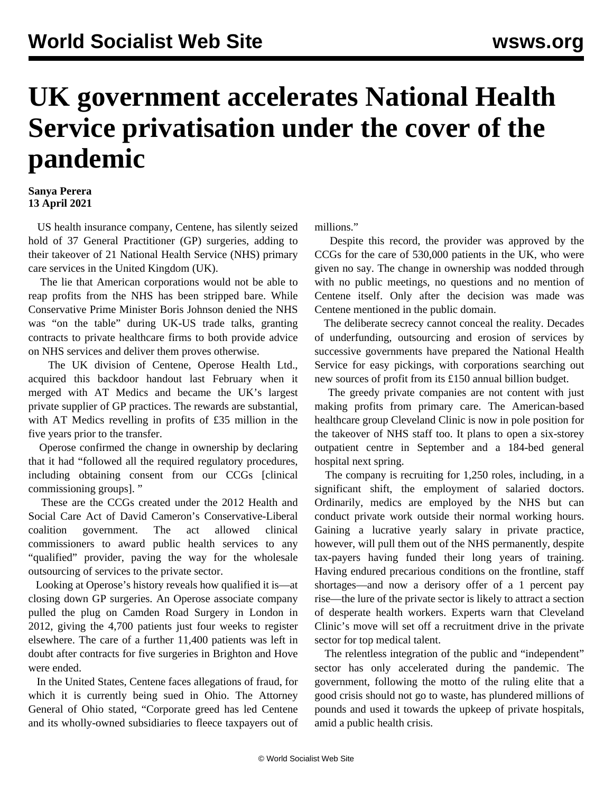## **UK government accelerates National Health Service privatisation under the cover of the pandemic**

## **Sanya Perera 13 April 2021**

 US health insurance company, Centene, has silently seized hold of 37 General Practitioner (GP) surgeries, adding to their takeover of 21 National Health Service (NHS) primary care services in the United Kingdom (UK).

 The lie that American corporations would not be able to reap profits from the NHS has been stripped bare. While Conservative Prime Minister Boris Johnson denied the NHS was "on the table" during UK-US trade talks, granting contracts to private healthcare firms to both provide advice on NHS services and deliver them proves otherwise.

 The UK division of Centene, Operose Health Ltd., acquired this backdoor handout last February when it merged with AT Medics and became the UK's largest private supplier of GP practices. The rewards are substantial, with AT Medics revelling in profits of £35 million in the five years prior to the transfer.

 Operose confirmed the change in ownership by declaring that it had "followed all the required regulatory procedures, including obtaining consent from our CCGs [clinical commissioning groups]. "

 These are the CCGs created under the 2012 Health and Social Care Act of David Cameron's Conservative-Liberal coalition government. The act allowed clinical commissioners to award public health services to any "qualified" provider, paving the way for the wholesale outsourcing of services to the private sector.

 Looking at Operose's history reveals how qualified it is—at closing down GP surgeries. An Operose associate company pulled the plug on Camden Road Surgery in London in 2012, giving the 4,700 patients just four weeks to register elsewhere. The care of a further 11,400 patients was left in doubt after contracts for five surgeries in Brighton and Hove were ended.

 In the United States, Centene faces allegations of fraud, for which it is currently being sued in Ohio. The Attorney General of Ohio stated, "Corporate greed has led Centene and its wholly-owned subsidiaries to fleece taxpayers out of millions."

 Despite this record, the provider was approved by the CCGs for the care of 530,000 patients in the UK, who were given no say. The change in ownership was nodded through with no public meetings, no questions and no mention of Centene itself. Only after the decision was made was Centene mentioned in the public domain.

 The deliberate secrecy cannot conceal the reality. Decades of underfunding, outsourcing and erosion of services by successive governments have prepared the National Health Service for easy pickings, with corporations searching out new sources of profit from its £150 annual billion budget.

 The greedy private companies are not content with just making profits from primary care. The American-based healthcare group Cleveland Clinic is now in pole position for the takeover of NHS staff too. It plans to open a six-storey outpatient centre in September and a 184-bed general hospital next spring.

 The company is recruiting for 1,250 roles, including, in a significant shift, the employment of salaried doctors. Ordinarily, medics are employed by the NHS but can conduct private work outside their normal working hours. Gaining a lucrative yearly salary in private practice, however, will pull them out of the NHS permanently, despite tax-payers having funded their long years of training. Having endured precarious conditions on the frontline, staff shortages—and now a derisory offer of a 1 percent pay rise—the lure of the private sector is likely to attract a section of desperate health workers. Experts warn that Cleveland Clinic's move will set off a recruitment drive in the private sector for top medical talent.

 The relentless integration of the public and "independent" sector has only accelerated during the pandemic. The government, following the motto of the ruling elite that a good crisis should not go to waste, has plundered millions of pounds and used it towards the upkeep of private hospitals, amid a public health crisis.